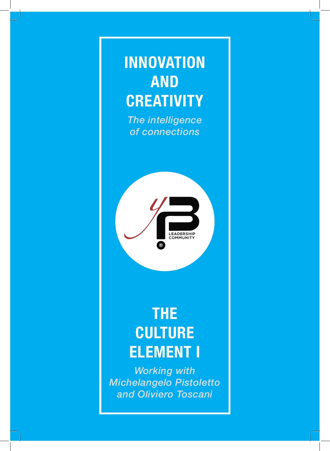# **INNOVATION AND CREATIVITY**

*The intelligence of connections*



## **THE CULTURE ELEMENT I**

*Working with Michelangelo Pistoletto and Oliviero Toscani*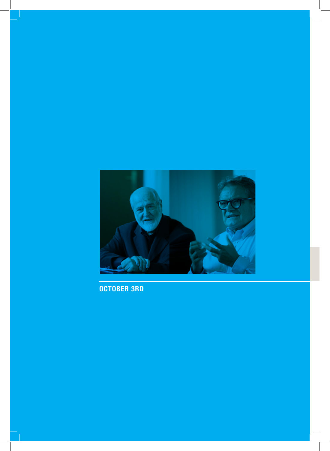

**OCTOBER 3RD**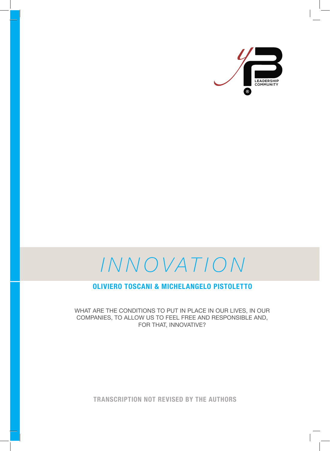



## **OLIVIERO TOSCANI & MICHELANGELO PISTOLETTO**

WHAT ARE THE CONDITIONS TO PUT IN PLACE IN OUR LIVES, IN OUR COMPANIES, TO ALLOW US TO FEEL FREE AND RESPONSIBLE AND, FOR THAT, INNOVATIVE?

**TRANSCRIPTION NOT REVISED BY THE AUTHORS**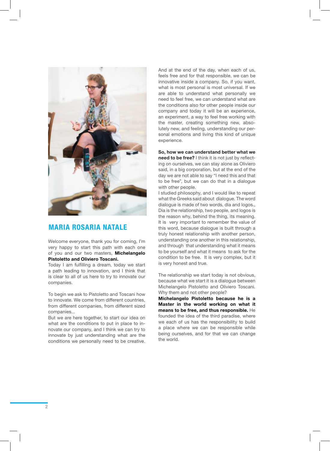

## **MARIA ROSARIA NATALE**

Welcome everyone, thank you for coming, I'm very happy to start this path with each one of you and our two masters, **Michelangelo Pistoletto and Oliviero Toscani.**

Today I am fulfilling a dream, today we start a path leading to innovation, and I think that is clear to all of us here to try to innovate our companies.

To begin we ask to Pistoletto and Toscani how to innovate. We come from different countries, from different companies, from different sized companies...

But we are here together, to start our idea on what are the conditions to put in place to innovate our company, and I think we can try to innovate by just understanding what are the conditions we personally need to be creative.

And at the end of the day, when each of us, feels free and for that responsible, we can be innovative inside a company. So, if you want, what is most personal is most universal. If we are able to understand what personally we need to feel free, we can understand what are the conditions also for other people inside our company and today it will be an experience, an experiment, a way to feel free working with the master, creating something new, absolutely new, and feeling, understanding our personal emotions and living this kind of unique experience.

**So, how we can understand better what we need to be free?** I think it is not just by reflecting on ourselves, we can stay alone as Oliviero said, in a big corporation, but at the end of the day we are not able to say "I need this and that to be free", but we can do that in a dialogue with other people.

I studied philosophy, and I would like to repeat what the Greeks said about dialogue. The word dialogue is made of two words, dia and logos., Dia is the relationship, two people, and logos is the reason why, behind the thing, its meaning. It is very important to remember the value of this word, because dialogue is built through a truly honest relationship with another person, understanding one another in this relationship, and through that understanding what it means to be yourself and what it means to ask for the condition to be free. It is very complex, but it is very honest and true.

The relationship we start today is not obvious, because what we start it is a dialogue between Michelangelo Pistoletto and Oliviero Toscani. Why them and not other people?

**Michelangelo Pistoletto because he is a Master in the world working on what it means to be free, and thus responsible.** He founded the idea of the third paradise, where we each of us has the responsibility to build a place where we can be responsible while being ourselves, and for that we can change the world.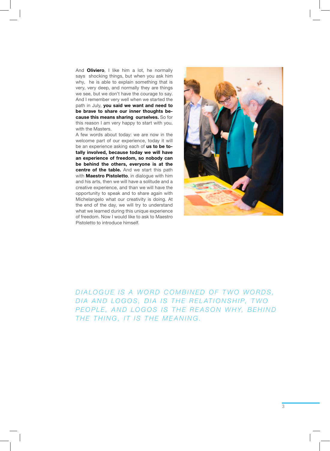And **Oliviero**, I like him a lot, he normally says shocking things, but when you ask him why, he is able to explain something that is very, very deep, and normally they are things we see, but we don't have the courage to say. And I remember very well when we started the path in July, **you said we want and need to be brave to share our inner thoughts because this means sharing ourselves.** So for this reason I am very happy to start with you, with the Masters.

A few words about today: we are now in the welcome part of our experience, today it will be an experience asking each of **us to be totally involved, because today we will have an experience of freedom, so nobody can be behind the others, everyone is at the centre of the table.** And we start this path with **Maestro Pistoletto**, in dialogue with him and his arts, then we will have a solitude and a creative experience, and than we will have the opportunity to speak and to share again with Michelangelo what our creativity is doing. At the end of the day, we will try to understand what we learned during this unique experience of freedom. Now I would like to ask to Maestro Pistoletto to introduce himself.



DIALOGUE IS A WORD COMBINED OF TWO WORDS, DIA AND LOGOS, DIA IS THE RELATIONSHIP, TWO *PEOPLE, AND LOGOS IS THE REASON WHY, BEHIND THE THING, IT IS THE MEANING.*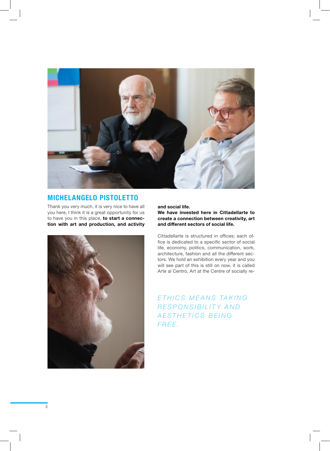

## **MICHELANGELO PISTOLETTO**

Thank you very much, it is very nice to have all you here, I think it is a great opportunity for us to have you in this place, **to start a connection with art and production, and activity** 



**and social life.** 

**We have invested here in Cittadellarte to create a connection between creativity, art and different sectors of social life.**

Cittadellarte is structured in offices; each office is dedicated to a specific sector of social life, economy, politics, communication, work, architecture, fashion and all the different sectors. We hold an exhibition every year and you will see part of this is still on now, it is called Arte al Centro, Art at the Centre of socially re-

*E T H I C S M E A N S TA K I N G R E S P O N S I B I L I T Y A N D A E S T H E T I C S B E I N G F R E E .*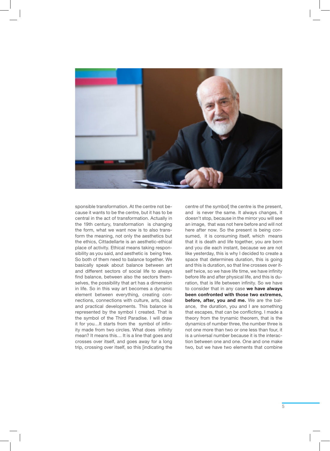

sponsible transformation. At the centre not because it wants to be the centre, but it has to be central in the act of transformation. Actually in the 19th century, transformation is changing the form, what we want now is to also transform the meaning, not only the aesthetics but the ethics, Cittadellarte is an aesthetic-ethical place of activity. Ethical means taking responsibility as you said, and aesthetic is being free. So both of them need to balance together. We basically speak about balance between art and different sectors of social life to always find balance, between also the sectors themselves, the possibility that art has a dimension in life. So in this way art becomes a dynamic element between everything, creating connections, connections with culture, arts, ideal and practical developments. This balance is represented by the symbol I created. That is the symbol of the Third Paradise. I will draw it for you…It starts from the symbol of infinity made from two circles. What does infinity mean? It means this… It is a line that goes and crosses over itself, and goes away for a long trip, crossing over itself, so this [indicating the

centre of the symbol] the centre is the present, and is never the same. It always changes, it doesn't stop, because in the mirror you will see an image, that was not here before and will not here after now. So the present is being consumed, it is consuming itself, which means that it is death and life together, you are born and you die each instant, because we are not like yesterday, this is why I decided to create a space that determines duration, this is going and this is duration, so that line crosses over itself twice, so we have life time, we have infinity before life and after physical life, and this is duration, that is life between infinity. So we have to consider that in any case **we have always been confronted with those two extremes, before, after, you and me.** We are the balance, the duration, you and I are something that escapes, that can be conflicting. I made a theory from the trynamic theorem, that is the dynamics of number three, the number three is not one more than two or one less than four, it is a universal number because it is the interaction between one and one. One and one make two, but we have two elements that combine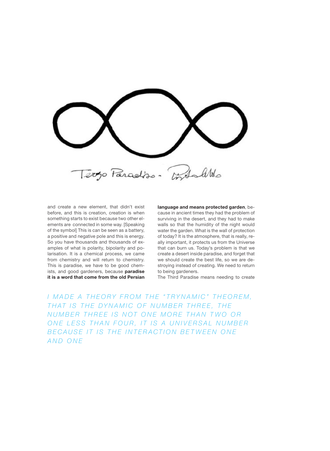Contactivo Terzo Paradiso.

and create a new element, that didn't exist before, and this is creation, creation is when something starts to exist because two other elements are connected in some way. [Speaking of the symbol] This is can be seen as a battery, a positive and negative pole and this is energy. So you have thousands and thousands of examples of what is polarity, bipolarity and polarisation. It is a chemical process, we came from chemistry and will return to chemistry. This is paradise, we have to be good chemists, and good gardeners, because **paradise it is a word that come from the old Persian** 

**language and means protected garden**, because in ancient times they had the problem of surviving in the desert, and they had to make walls so that the humidity of the night would water the garden. What is the wall of protection of today? It is the atmosphere, that is really, really important, it protects us from the Universe that can burn us. Today's problem is that we create a desert inside paradise, and forget that we should create the best life, so we are destroying instead of creating. We need to return to being gardeners.

The Third Paradise means needing to create

I MADE A THEORY FROM THE "TRYNAMIC" THEOREM, THAT IS THE DYNAMIC OF NUMBER THREE, THE *N U M B E R T H R E E I S N O T O N E M O R E T H A N T W O O R*  ONE LESS THAN FOUR, IT IS A UNIVERSAL NUMBER B E CAUSE IT IS THE INTERACTION BETWEEN ONE *AND ONE*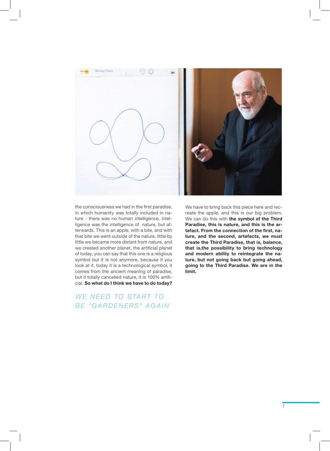

the consciousness we had in the first paradise, in which humanity was totally included in nature - there was no human intelligence, intelligence was the intelligence of nature, but afterwards. This is an apple, with a bite, and with that bite we went outside of the nature, little by little we became more distant from nature, and we created another planet, the artificial planet of today, you can say that this one is a religious symbol but it is not anymore, because if you look at it, today it is a technological symbol, it comes from the ancient meaning of paradise, but it totally cancelled nature, it is 100% artificial. **So what do I think we have to do today?** 

*WE NEED TO START TO BE "GARDENERS" AGAIN* We have to bring back this piece here and recreate the apple, and this is our big problem. We can do this with **the symbol of the Third Paradise, this is nature, and this is the artefact. From the connection of the first, nature, and the second, artefacts, we must create the Third Paradise, that is, balance, that is,the possibility to bring technology and modern ability to reintegrate the nature, but not going back but going ahead, going to the Third Paradise. We are in the limit.**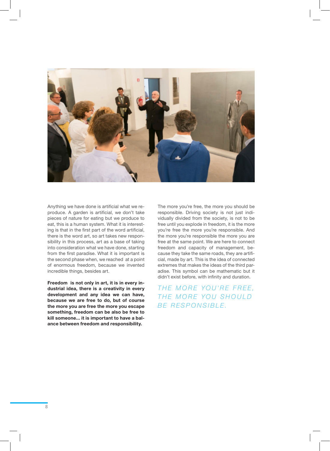

Anything we have done is artificial what we reproduce. A garden is artificial, we don't take pieces of nature for eating but we produce to eat, this is a human system. What it is interesting is that in the first part of the word artificial, there is the word art, so art takes new responsibility in this process, art as a base of taking into consideration what we have done, starting from the first paradise. What it is important is the second phase when, we reached at a point of enormous freedom, because we invented incredible things, besides art.

**Freedom is not only in art, it is in every industrial idea, there is a creativity in every development and any idea we can have, because we are free to do, but of course the more you are free the more you escape something, freedom can be also be free to kill someone... it is important to have a balance between freedom and responsibility.** 

The more you're free, the more you should be responsible. Driving society is not just individually divided from the society, is not to be free until you explode in freedom, it is the more you're free the more you're responsible. And the more you're responsible the more you are free at the same point. We are here to connect freedom and capacity of management, because they take the same roads, they are artificial, made by art. This is the idea of connected extremes that makes the ideas of the third paradise. This symbol can be mathematic but it didn't exist before, with infinity and duration.

THE MORE YOU'RE FREE, THE MORE YOU SHOULD *BE RESPONSIBLE.*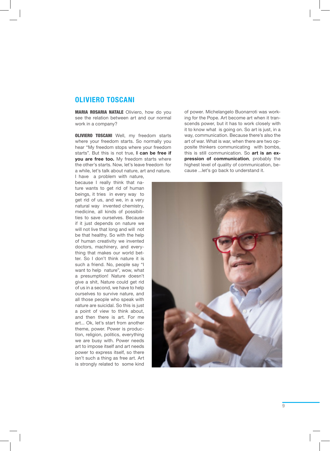## **OLIVIERO TOSCANI**

MARIA ROSARIA NATALE Oliviero, how do you see the relation between art and our normal work in a company?

**OLIVIERO TOSCANI** Well, my freedom starts where your freedom starts. So normally you hear "My freedom stops where your freedom starts". But this is not true, **I can be free if you are free too.** My freedom starts where the other's starts. Now, let's leave freedom for a while, let's talk about nature, art and nature.

of power. Michelangelo Buonarroti was working for the Pope. Art become art when it transcends power, but it has to work closely with it to know what is going on. So art is just, in a way, communication. Because there's also the art of war. What is war, when there are two opposite thinkers communicating with bombs, this is still communication. So **art is an expression of communication**, probably the highest level of quality of communication, because ...let's go back to understand it.

I have a problem with nature, because I really think that nature wants to get rid of human beings, it tries in every way to get rid of us, and we, in a very natural way invented chemistry, medicine, all kinds of possibilities to save ourselves. Because if it just depends on nature we will not live that long and will not be that healthy. So with the help of human creativity we invented doctors, machinery, and everything that makes our world better. So I don't think nature it is such a friend. No, people say "I want to help nature", wow, what a presumption! Nature doesn't give a shit, Nature could get rid of us in a second, we have to help ourselves to survive nature, and all those people who speak with nature are suicidal. So this is just a point of view to think about, and then there is art. For me art... Ok, let's start from another theme, power. Power is production, religion, politics, everything we are busy with. Power needs art to impose itself and art needs power to express itself, so there isn't such a thing as free art. Art is strongly related to some kind

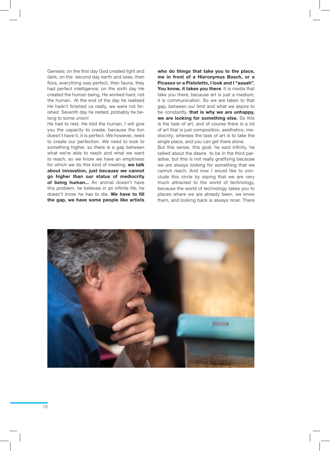Genesis: on the first day God created light and dark, on the second day earth and seas, then flora, everything was perfect, then fauna, they had perfect intelligence, on the sixth day He created the human being, He worked hard, not the human.. At the end of the day he realised He hadn't finished us really, we were not finished Seventh day he rested, probably he belong to some union!

He had to rest. He told the human, I will give you the capacity to create, because the lion doesn't have it, it is perfect. We however, need to create our perfection. We need to look to something higher, so there is a gap between what we're able to reach and what we want to reach, so we know we have an emptiness for which we do this kind of meeting, **we talk about innovation, just because we cannot go higher than our status of mediocrity of being human...** An animal doesn't have this problem, he believes in an infinite life, he doesn't know he has to die. **We have to fill the gap, we have some people like artists**  **who do things that take you to the place, me in front of a Hieronymus Bosch, or a Picasso or a Pistoletto, I look and I "aaaah". You know, it takes you there**. It is media that take you there, because art is just a medium, it is communication. So we are taken to that gap, between our limit and what we aspire to be constantly, **that is why we are unhappy, we are looking for something else.** So this is the task of art, and of course there is a lot of art that is just composition, aesthetics, mediocrity, whereas the task of art is to take the single place, and you can get there alone.

But this sense, this goal, he said infinity, he talked about the desire to be in the third paradise, but this is not really gratifying because we are always looking for something that we cannot reach. And now I would like to conclude this circle by saying that we are very much attracted to the world of technology, because the world of technology takes you to places where we are already been, we know them, and looking back is always nicer. There

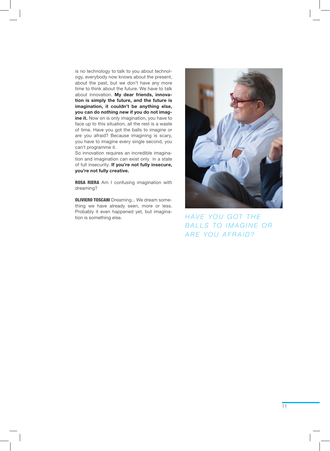is no technology to talk to you about technology, everybody now knows about the present, about the past, but we don't have any more time to think about the future. We have to talk about innovation. **My dear friends, innovation is simply the future, and the future is imagination, it couldn't be anything else, you can do nothing new if you do not imagine it.** Now on is only imagination, you have to face up to this situation, all the rest is a waste of time. Have you got the balls to imagine or are you afraid? Because imagining is scary, you have to imagine every single second, you can't programme it.

So innovation requires an incredible imagination and imagination can exist only in a state of full insecurity. **If you're not fully insecure, you're not fully creative.**

ROSA RIERA Am I confusing imagination with dreaming?

**OLIVIERO TOSCANI** Dreaming... We dream something we have already seen, more or less. Probably it even happened yet, but imagination is something else. *HAVE YOU GOT THE* 

![](_page_12_Picture_4.jpeg)

*BALLS TO IMAGINE OR ARE YOU AFRAID?*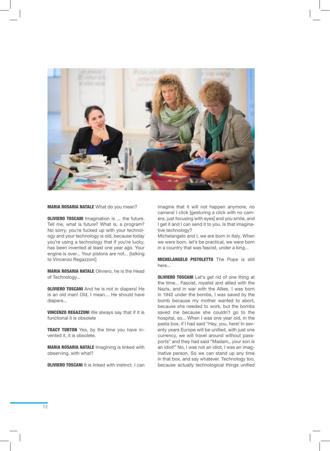![](_page_13_Picture_0.jpeg)

#### MARIA ROSARIA NATALE What do you mean?

**OLIVIERO TOSCANI** Imagination is ... the future. Tell me, what is future? What is, a program? No sorry, you're fucked up with your technology and your technology is old, because today you're using a technology that if you're lucky, has been invented at least one year ago. Your engine is over... Your pistons are not... [talking to Vincenzo Regazzoni]

MARIA ROSARIA NATALE Oliviero, he is the Head of Technology...

**OLIVIERO TOSCANI** And he is not in diapers! He is an old man! Old, I mean… He should have diapers...

VINCENZO REGAZZONI We always say that if it is functional it is obsolete

**TRACY TURTON** Yes, by the time you have invented it, it is obsolete.

MARIA ROSARIA NATALE Imagining is linked with observing, with what?

**OLIVIERO TOSCANI** It is linked with instinct. I can

imagine that it will not happen anymore, no camera! I click [gesturing a click with no camera, just focusing with eyes] and you smile, and I get it and I can send it to you. Is that imaginative technology?

Michelangelo and I, we are born in Italy. When we were born, let's be practical, we were born in a country that was fascist, under a king...

MICHELANGELO PISTOLETTO The Pope is still here.

**OLIVIERO TOSCANI** Let's get rid of one thing at the time... Fascist, royalist and allied with the Nazis, and in war with the Allies. I was born in 1942 under the bombs, I was saved by the bomb because my mother wanted to abort, because she needed to work, but the bombs saved me because she couldn't go to the hospital, so... When I was one year old, in the pasta box, if I had said "Hey, you, here! In seventy years Europe will be unified, with just one currency, we will travel around without passports" and they had said "Madam,, your son is an idiot!" No, I was not an idiot, I was an imaginative person. So we can stand up any time in that box, and say whatever. Technology too, because actually technological things unified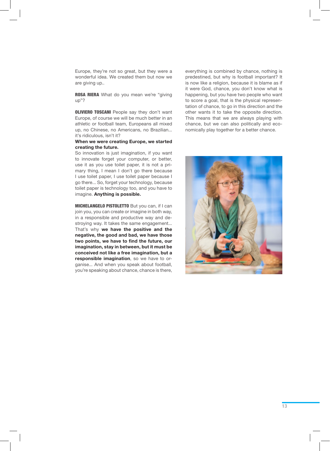Europe, they're not so great, but they were a wonderful idea. We created them but now we are giving up..

ROSA RIERA What do you mean we're "giving up"?

**OLIVIERO TOSCANI** People say they don't want Europe, of course we will be much better in an athletic or football team, Europeans all mixed up, no Chinese, no Americans, no Brazilian... it's ridiculous, isn't it?

### **When we were creating Europe, we started creating the future.**

So innovation is just imagination, if you want to innovate forget your computer, or better, use it as you use toilet paper, it is not a primary thing, I mean I don't go there because I use toilet paper, I use toilet paper because I go there... So, forget your technology, because toilet paper is technology too, and you have to imagine. **Anything is possible.**

MICHELANGELO PISTOLETTO But you can, if I can join you, you can create or imagine in both way, in a responsible and productive way and destroying way. It takes the same engagement... That's why **we have the positive and the negative, the good and bad, we have those two points, we have to find the future, our imagination, stay in between, but it must be conceived not like a free imagination, but a responsible imagination**, so we have to organise... And when you speak about football, you're speaking about chance, chance is there,

everything is combined by chance, nothing is predestined, but why is football important? It is now like a religion, because it is blame as if it were God, chance, you don't know what is happening, but you have two people who want to score a goal, that is the physical representation of chance, to go in this direction and the other wants it to take the opposite direction. This means that we are always playing with chance, but we can also politically and economically play together for a better chance.

![](_page_14_Picture_7.jpeg)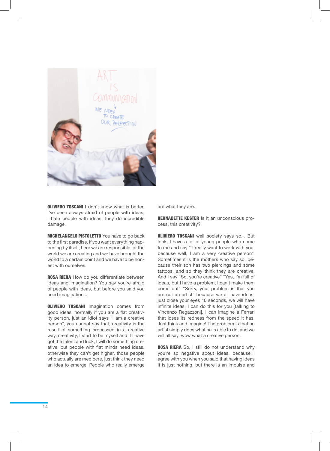![](_page_15_Picture_0.jpeg)

**OLIVIERO TOSCANI I don't know what is better,** I've been always afraid of people with ideas, I hate people with ideas, they do incredible damage.

**MICHELANGELO PISTOLETTO** You have to go back to the first paradise, if you want everything happening by itself, here we are responsible for the world we are creating and we have brought the world to a certain point and we have to be honest with ourselves.

ROSA RIERA How do you differentiate between ideas and imagination? You say you're afraid of people with ideas, but before you said you need imagination...

**OLIVIERO TOSCANI** Imagination comes from good ideas, normally if you are a flat creativity person, just an idiot says "I am a creative person", you cannot say that, creativity is the result of something processed in a creative way, creativity, I start to be myself and if I have got the talent and luck, I will do something creative, but people with flat minds need ideas, otherwise they can't get higher, those people who actually are mediocre, just think they need an idea to emerge. People who really emerge are what they are.

BERNADETTE KESTER Is it an unconscious process, this creativity?

**OLIVIERO TOSCANI** well society says so... But look, I have a lot of young people who come to me and say " I really want to work with you, because well, I am a very creative person". Sometimes it is the mothers who say so, because their son has two piercings and some tattoos, and so they think they are creative. And I say "So, you're creative" "Yes, I'm full of ideas, but I have a problem, I can't make them come out" "Sorry, your problem is that you are not an artist" because we all have ideas, just close your eyes 10 seconds, we will have infinite ideas, I can do this for you [talking to Vincenzo Regazzoni], I can imagine a Ferrari that loses its redness from the speed it has. Just think and imagine! The problem is that an artist simply does what he is able to do, and we will all say, wow what a creative person.

ROSA RIERA So, I still do not understand why you're so negative about ideas, because I agree with you when you said that having ideas it is just nothing, but there is an impulse and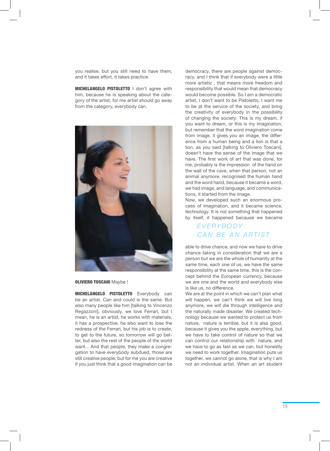you realise, but you still need to have them, and it takes effort, it takes practice.

MICHELANGELO PISTOLETTO I don't agree with him, because he is speaking about the category of the artist, for me artist should go away from the category, everybody can.

![](_page_16_Picture_2.jpeg)

#### OLIVIERO TOSCANI Maybe !

MICHELANGELO PISTOLETTO Everybody can be an artist. Can and could is the same. But also many people like him [talking to Vincenzo Regazzoni], obviously, we love Ferrari, but I mean, he is an artist, he works with materials, it has a prospective, he also want to lose the redness of the Ferrari, but his job is to create, to get to the future, so tomorrow will go better, but also the rest of the people of the world want... And that people, they make a congregation to have everybody subdued, those are still creative people, but for me you are creative if you just think that a good imagination can be

democracy, there are people against democracy, and I think that if everybody were a little more artistic , that means more freedom and responsibility that would mean that democracy would become possible. So I am a democratic artist, I don't want to be Pistoletto, I want me to be at the service of the society, and bring the creativity of everybody in the possibility of changing the society. This is my dream, if you want to dream, or this is my imagination, but remember that the word imagination come from image, it gives you an image, the difference from a human being and a lion is that a lion, as you said [talking to Oliviero Toscani], doesn't have the sense of the image that we have. The first work of art that was done, for me, probably is the impression of the hand on the wall of the cave, when that person, not an animal anymore, recognised the human hand and the word hand, because it became a word, we had image, and language, and communications, it started from the image.

Now, we developed such an enormous process of imagination, and it became science, technology. It is not something that happened by itself, it happened because we became

## *EVERYBODY CAN BE AN ARTIST*

able to drive chance, and now we have to drive chance taking in consideration that we are a person but we are the whole of humanity at the same time, each one of us, we have the same responsibility at the same time, this is the concept behind the European currency, because we are one and the world and everybody else is like us, no difference.

We are at the point in which we can't plan what will happen, we can't think we will live long anymore, we will die through intelligence and the naturally made disaster. We created technology because we wanted to protect us from nature, nature is terrible, but it is also good, because it gives you the apple, everything, but we have to take control of nature so that we can control our relationship with nature, and we have to go as fast as we can, but honestly we need to work together. Imagination puts us together, we cannot go alone, that is why I am not an individual artist. When an art student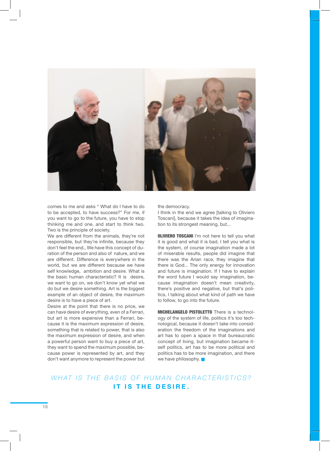![](_page_17_Picture_0.jpeg)

comes to me and asks " What do I have to do to be accepted, to have success?" For me, if you want to go to the future, you have to stop thinking me and one, and start to think two. Two is the principle of society.

We are different from the animals, they're not responsible, but they're infinite, because they don't feel the end., We have this concept of duration of the person and also of nature, and we are different. Difference is everywhere in the world, but we are different because we have self knowledge, ambition and desire. What is the basic human characteristic? It is desire, we want to go on, we don't know yet what we do but we desire something. Art is the biggest example of an object of desire, the maximum desire is to have a piece of art.

Desire at the point that there is no price, we can have desire of everything, even of a Ferrari, but art is more expensive than a Ferrari, because it is the maximum expression of desire, something that is related to power, that is also the maximum expression of desire, and when a powerful person want to buy a piece of art, they want to spend the maximum possible, because power is represented by art, and they don't want anymore to represent the power but the democracy.

I think in the end we agree [talking to Oliviero Toscani], because it takes the idea of imagination to its strongest meaning, but...

**OLIVIERO TOSCANI** I'm not here to tell you what it is good and what it is bad, I tell you what is the system, of course imagination made a lot of miserable results, people did imagine that there was the Arian race, they imagine that there is God... The only energy for innovation and future is imagination. If I have to explain the word future I would say imagination, because imagination doesn't mean creativity, there's positive and negative, but that's politics, I talking about what kind of path we have to follow, to go into the future.

MICHELANGELO PISTOLETTO There is a technology of the system of life, politics it's too technological, because it doesn't take into consideration the freedom of the imaginations and art has to open a space in that bureaucratic concept of living, but imagination became itself politics, art has to be more political and politics has to be more imagination, and there we have philosophy.

## WHAT IS THE BASIS OF HUMAN CHARACTERISTICS? IT IS THE DESIRE.